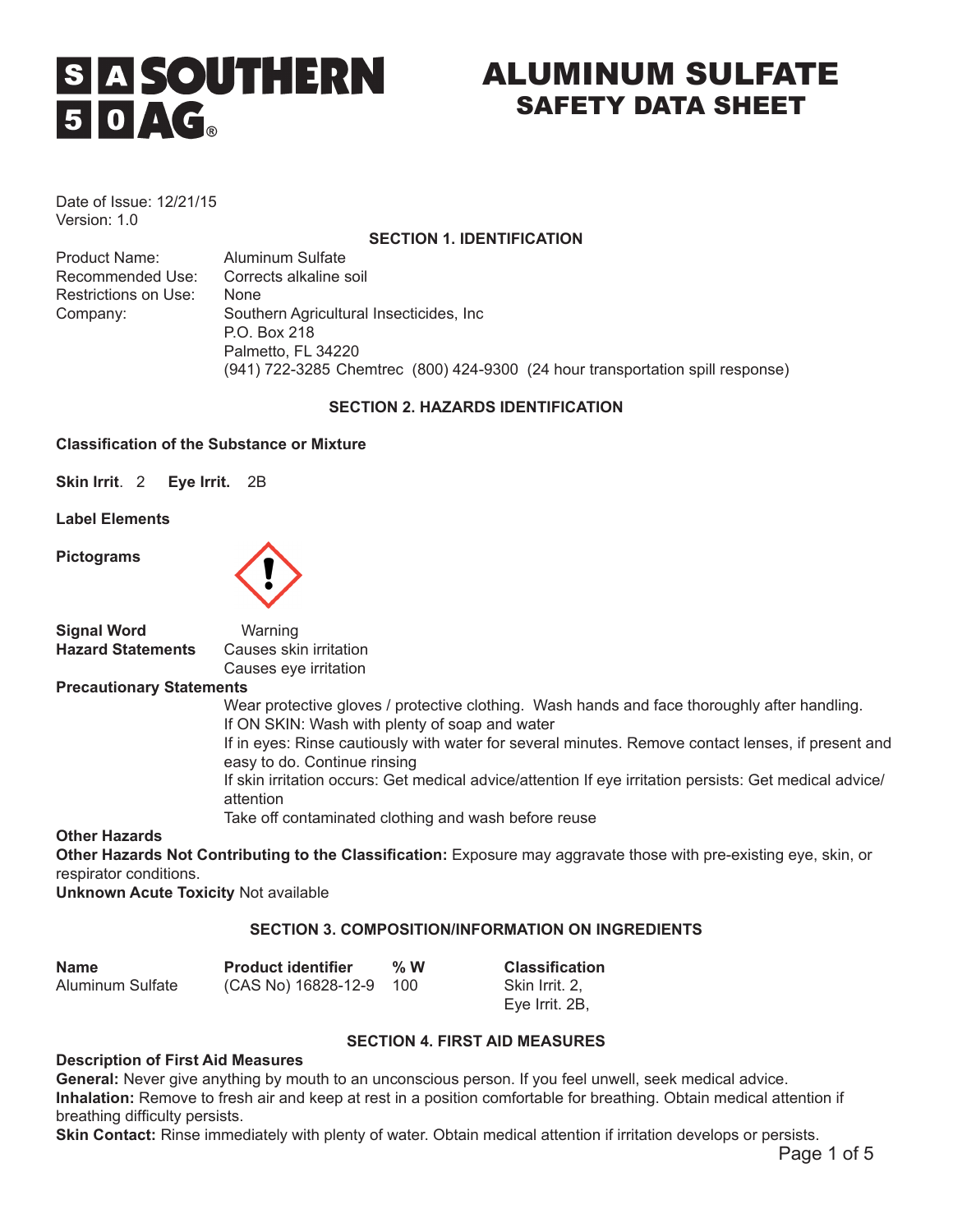# **SIA SOUTHERN**  $50 \text{ } \text{C}_\text{a}$

# ALUMINUM SULFATE SAFETY DATA SHEET

Date of Issue: 12/21/15 Version: 1.0

#### **SECTION 1. IDENTIFICATION**

Product Name: Aluminum Sulfate Recommended Use: Corrects alkaline soil Restrictions on Use: None

Company: Southern Agricultural Insecticides, Inc P.O. Box 218 Palmetto, FL 34220 (941) 722-3285 Chemtrec (800) 424-9300 (24 hour transportation spill response)

## **SECTION 2. HAZARDS IDENTIFICATION**

#### **Classification of the Substance or Mixture**

**Skin Irrit**. 2 **Eye Irrit.** 2B

**Label Elements**

**Pictograms** 



**Signal Word Warning**<br> **Hazard Statements** Causes ski **Causes skin irritation** Causes eye irritation

**Precautionary Statements** 

Wear protective gloves / protective clothing. Wash hands and face thoroughly after handling. If ON SKIN: Wash with plenty of soap and water

If in eyes: Rinse cautiously with water for several minutes. Remove contact lenses, if present and easy to do. Continue rinsing

If skin irritation occurs: Get medical advice/attention If eye irritation persists: Get medical advice/ attention

Take off contaminated clothing and wash before reuse

#### **Other Hazards**

**Other Hazards Not Contributing to the Classification:** Exposure may aggravate those with pre-existing eye, skin, or respirator conditions.

**Unknown Acute Toxicity** Not available

## **SECTION 3. COMPOSITION/INFORMATION ON INGREDIENTS**

| Name             | <b>Product identifier</b> | % $W$           | <b>Classification</b> |
|------------------|---------------------------|-----------------|-----------------------|
| Aluminum Sulfate | (CAS No) 16828-12-9       | 10 <sub>0</sub> | Skin Irrit. 2.        |
|                  |                           |                 | Eve Irrit. 2B,        |

#### **SECTION 4. FIRST AID MEASURES**

#### **Description of First Aid Measures**

**General:** Never give anything by mouth to an unconscious person. If you feel unwell, seek medical advice. **Inhalation:** Remove to fresh air and keep at rest in a position comfortable for breathing. Obtain medical attention if breathing difficulty persists.

**Skin Contact:** Rinse immediately with plenty of water. Obtain medical attention if irritation develops or persists.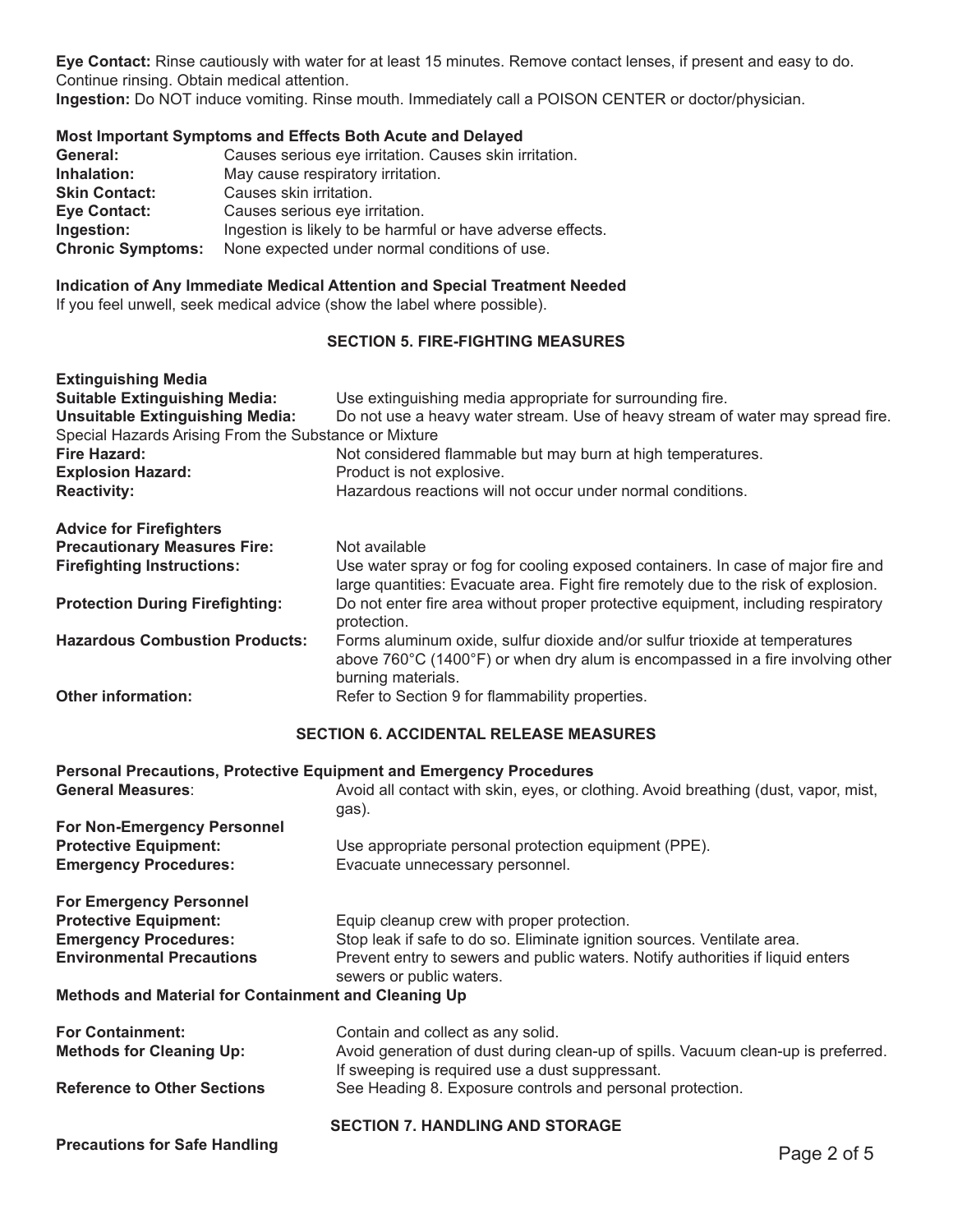**Eye Contact:** Rinse cautiously with water for at least 15 minutes. Remove contact lenses, if present and easy to do. Continue rinsing. Obtain medical attention.

**Ingestion:** Do NOT induce vomiting. Rinse mouth. Immediately call a POISON CENTER or doctor/physician.

#### **Most Important Symptoms and Effects Both Acute and Delayed**

| General:                 | Causes serious eye irritation. Causes skin irritation.     |
|--------------------------|------------------------------------------------------------|
| Inhalation:              | May cause respiratory irritation.                          |
| <b>Skin Contact:</b>     | Causes skin irritation.                                    |
| <b>Eye Contact:</b>      | Causes serious eye irritation.                             |
| Ingestion:               | Ingestion is likely to be harmful or have adverse effects. |
| <b>Chronic Symptoms:</b> | None expected under normal conditions of use.              |

#### **Indication of Any Immediate Medical Attention and Special Treatment Needed**

If you feel unwell, seek medical advice (show the label where possible).

#### **SECTION 5. FIRE-FIGHTING MEASURES**

| <b>Extinguishing Media</b>                            |                                                                                                                                                                                     |  |  |
|-------------------------------------------------------|-------------------------------------------------------------------------------------------------------------------------------------------------------------------------------------|--|--|
| <b>Suitable Extinguishing Media:</b>                  | Use extinguishing media appropriate for surrounding fire.<br>Do not use a heavy water stream. Use of heavy stream of water may spread fire.                                         |  |  |
| <b>Unsuitable Extinguishing Media:</b>                |                                                                                                                                                                                     |  |  |
| Special Hazards Arising From the Substance or Mixture |                                                                                                                                                                                     |  |  |
| Fire Hazard:                                          | Not considered flammable but may burn at high temperatures.                                                                                                                         |  |  |
| <b>Explosion Hazard:</b>                              | Product is not explosive.                                                                                                                                                           |  |  |
| <b>Reactivity:</b>                                    | Hazardous reactions will not occur under normal conditions.                                                                                                                         |  |  |
| <b>Advice for Firefighters</b>                        |                                                                                                                                                                                     |  |  |
| <b>Precautionary Measures Fire:</b>                   | Not available                                                                                                                                                                       |  |  |
| <b>Firefighting Instructions:</b>                     | Use water spray or fog for cooling exposed containers. In case of major fire and<br>large quantities: Evacuate area. Fight fire remotely due to the risk of explosion.              |  |  |
| <b>Protection During Firefighting:</b>                | Do not enter fire area without proper protective equipment, including respiratory<br>protection.                                                                                    |  |  |
| <b>Hazardous Combustion Products:</b>                 | Forms aluminum oxide, sulfur dioxide and/or sulfur trioxide at temperatures<br>above 760°C (1400°F) or when dry alum is encompassed in a fire involving other<br>burning materials. |  |  |
| <b>Other information:</b>                             | Refer to Section 9 for flammability properties.                                                                                                                                     |  |  |

#### **SECTION 6. ACCIDENTAL RELEASE MEASURES**

**Personal Precautions, Protective Equipment and Emergency Procedures General Measures**: Avoid all contact with skin, eyes, or clothing. Avoid breathing (dust, vapor, mist, gas). **For Non-Emergency Personnel Protective Equipment:** Use appropriate personal protection equipment (PPE). **Emergency Procedures:** Evacuate unnecessary personnel. **For Emergency Personnel Protective Equipment:** Equip cleanup crew with proper protection. **Emergency Procedures:** Stop leak if safe to do so. Eliminate ignition sources. Ventilate area.<br>**Environmental Precautions** Prevent entry to sewers and public waters. Notify authorities if liquid Prevent entry to sewers and public waters. Notify authorities if liquid enters sewers or public waters. **Methods and Material for Containment and Cleaning Up For Containment: Contain and collect as any solid. Methods for Cleaning Up:** Avoid generation of dust during clean-up of spills. Vacuum clean-up is preferred. If sweeping is required use a dust suppressant. **Reference to Other Sections** See Heading 8. Exposure controls and personal protection. **SECTION 7. HANDLING AND STORAGE**  Precautions for Safe Handling **Precautions for Safe Handling**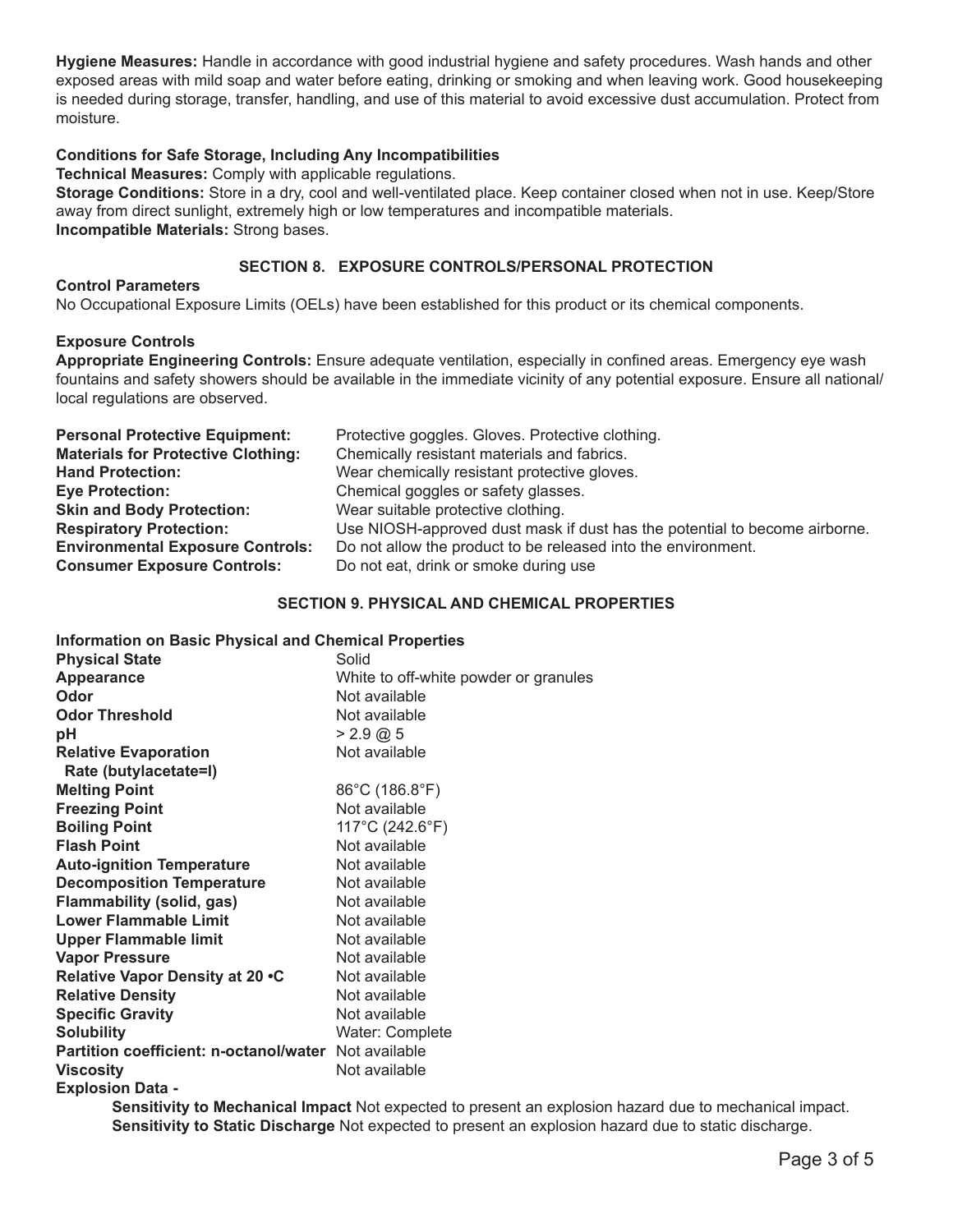**Hygiene Measures:** Handle in accordance with good industrial hygiene and safety procedures. Wash hands and other exposed areas with mild soap and water before eating, drinking or smoking and when leaving work. Good housekeeping is needed during storage, transfer, handling, and use of this material to avoid excessive dust accumulation. Protect from moisture.

#### **Conditions for Safe Storage, Including Any Incompatibilities**

**Technical Measures:** Comply with applicable regulations.

**Storage Conditions:** Store in a dry, cool and well-ventilated place. Keep container closed when not in use. Keep/Store away from direct sunlight, extremely high or low temperatures and incompatible materials. **Incompatible Materials:** Strong bases.

#### **SECTION 8. EXPOSURE CONTROLS/PERSONAL PROTECTION**

#### **Control Parameters**

No Occupational Exposure Limits (OELs) have been established for this product or its chemical components.

#### **Exposure Controls**

**Appropriate Engineering Controls:** Ensure adequate ventilation, especially in confined areas. Emergency eye wash fountains and safety showers should be available in the immediate vicinity of any potential exposure. Ensure all national/ local regulations are observed.

| <b>Personal Protective Equipment:</b>     | Protective goggles. Gloves. Protective clothing.                           |
|-------------------------------------------|----------------------------------------------------------------------------|
| <b>Materials for Protective Clothing:</b> | Chemically resistant materials and fabrics.                                |
| <b>Hand Protection:</b>                   | Wear chemically resistant protective gloves.                               |
| <b>Eye Protection:</b>                    | Chemical goggles or safety glasses.                                        |
| <b>Skin and Body Protection:</b>          | Wear suitable protective clothing.                                         |
| <b>Respiratory Protection:</b>            | Use NIOSH-approved dust mask if dust has the potential to become airborne. |
| <b>Environmental Exposure Controls:</b>   | Do not allow the product to be released into the environment.              |
| <b>Consumer Exposure Controls:</b>        | Do not eat, drink or smoke during use                                      |

#### **SECTION 9. PHYSICAL AND CHEMICAL PROPERTIES**

#### **Information on Basic Physical and Chemical Properties**

| <b>Physical State</b>                         | Solid                                 |
|-----------------------------------------------|---------------------------------------|
| <b>Appearance</b>                             | White to off-white powder or granules |
| Odor                                          | Not available                         |
| <b>Odor Threshold</b>                         | Not available                         |
| рH                                            | $> 2.9 \text{ } @.5$                  |
| <b>Relative Evaporation</b>                   | Not available                         |
| Rate (butylacetate=I)                         |                                       |
| <b>Melting Point</b>                          | 86°C (186.8°F)                        |
| <b>Freezing Point</b>                         | Not available                         |
| <b>Boiling Point</b>                          | 117°C (242.6°F)                       |
| <b>Flash Point</b>                            | Not available                         |
| <b>Auto-ignition Temperature</b>              | Not available                         |
| <b>Decomposition Temperature</b>              | Not available                         |
| <b>Flammability (solid, gas)</b>              | Not available                         |
| <b>Lower Flammable Limit</b>                  | Not available                         |
| <b>Upper Flammable limit</b>                  | Not available                         |
| <b>Vapor Pressure</b>                         | Not available                         |
| Relative Vapor Density at 20 .C               | Not available                         |
| <b>Relative Density</b>                       | Not available                         |
| <b>Specific Gravity</b>                       | Not available                         |
| <b>Solubility</b>                             | Water: Complete                       |
| <b>Partition coefficient: n-octanol/water</b> | Not available                         |
| Viscosity                                     | Not available                         |
|                                               |                                       |

**Explosion Data -** 

**Sensitivity to Mechanical Impact** Not expected to present an explosion hazard due to mechanical impact. **Sensitivity to Static Discharge** Not expected to present an explosion hazard due to static discharge.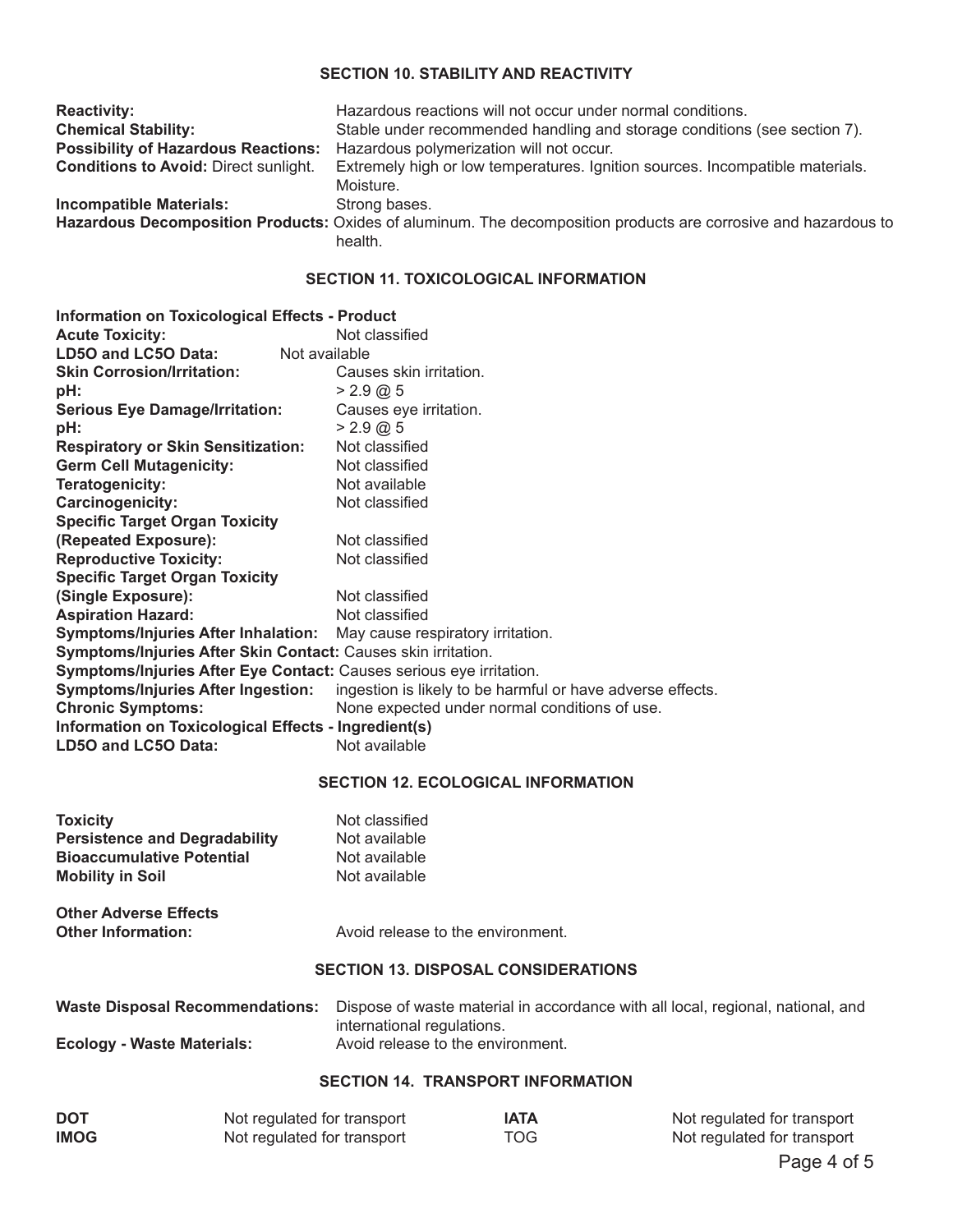# **SECTION 10. STABILITY AND REACTIVITY**

| <b>Reactivity:</b>                           | Hazardous reactions will not occur under normal conditions.                                                                |
|----------------------------------------------|----------------------------------------------------------------------------------------------------------------------------|
| <b>Chemical Stability:</b>                   | Stable under recommended handling and storage conditions (see section 7).                                                  |
| <b>Possibility of Hazardous Reactions:</b>   | Hazardous polymerization will not occur.                                                                                   |
| <b>Conditions to Avoid: Direct sunlight.</b> | Extremely high or low temperatures. Ignition sources. Incompatible materials.                                              |
|                                              | Moisture.                                                                                                                  |
| <b>Incompatible Materials:</b>               | Strong bases.                                                                                                              |
|                                              | Hazardous Decomposition Products: Oxides of aluminum. The decomposition products are corrosive and hazardous to<br>health. |

# **SECTION 11. TOXICOLOGICAL INFORMATION**

| <b>Information on Toxicological Effects - Product</b>                 |                                                            |
|-----------------------------------------------------------------------|------------------------------------------------------------|
| <b>Acute Toxicity:</b>                                                | Not classified                                             |
| LD5O and LC5O Data:<br>Not available                                  |                                                            |
| <b>Skin Corrosion/Irritation:</b>                                     | Causes skin irritation.                                    |
| pH:                                                                   | $> 2.9 \text{ } @.5$                                       |
| <b>Serious Eye Damage/Irritation:</b>                                 | Causes eye irritation.                                     |
| pH:                                                                   | $> 2.9 \text{ } @.5$                                       |
| <b>Respiratory or Skin Sensitization:</b>                             | Not classified                                             |
| <b>Germ Cell Mutagenicity:</b>                                        | Not classified                                             |
| Teratogenicity:                                                       | Not available                                              |
| Carcinogenicity:                                                      | Not classified                                             |
| <b>Specific Target Organ Toxicity</b>                                 |                                                            |
| (Repeated Exposure):                                                  | Not classified                                             |
| <b>Reproductive Toxicity:</b>                                         | Not classified                                             |
| <b>Specific Target Organ Toxicity</b>                                 |                                                            |
| (Single Exposure):                                                    | Not classified                                             |
| <b>Aspiration Hazard:</b>                                             | Not classified                                             |
| Symptoms/Injuries After Inhalation: May cause respiratory irritation. |                                                            |
| Symptoms/Injuries After Skin Contact: Causes skin irritation.         |                                                            |
| Symptoms/Injuries After Eye Contact: Causes serious eye irritation.   |                                                            |
| <b>Symptoms/Injuries After Ingestion:</b>                             | ingestion is likely to be harmful or have adverse effects. |
| <b>Chronic Symptoms:</b>                                              | None expected under normal conditions of use.              |
| Information on Toxicological Effects - Ingredient(s)                  |                                                            |
| LD50 and LC50 Data:                                                   | Not available                                              |
|                                                                       | <b>SECTION 12. ECOLOGICAL INFORMATION</b>                  |
|                                                                       |                                                            |

#### **SECTION 12. ECOLOGICAL INFORMATION**

| <b>Toxicity</b>                        | Not classified                                                                                                |
|----------------------------------------|---------------------------------------------------------------------------------------------------------------|
| <b>Persistence and Degradability</b>   | Not available                                                                                                 |
| <b>Bioaccumulative Potential</b>       | Not available                                                                                                 |
| <b>Mobility in Soil</b>                | Not available                                                                                                 |
| <b>Other Adverse Effects</b>           |                                                                                                               |
| <b>Other Information:</b>              | Avoid release to the environment.                                                                             |
|                                        | <b>SECTION 13. DISPOSAL CONSIDERATIONS</b>                                                                    |
| <b>Waste Disposal Recommendations:</b> | Dispose of waste material in accordance with all local, regional, national, and<br>international regulations. |
| <b>Ecology - Waste Materials:</b>      | Avoid release to the environment.                                                                             |
|                                        | <b>SECTION 14. TRANSPORT INFORMATION</b>                                                                      |

| <b>DOT</b>  | Not regulated for transport | IATA | Not regulated for transport |
|-------------|-----------------------------|------|-----------------------------|
| <b>IMOG</b> | Not regulated for transport | TOG  | Not regulated for transport |